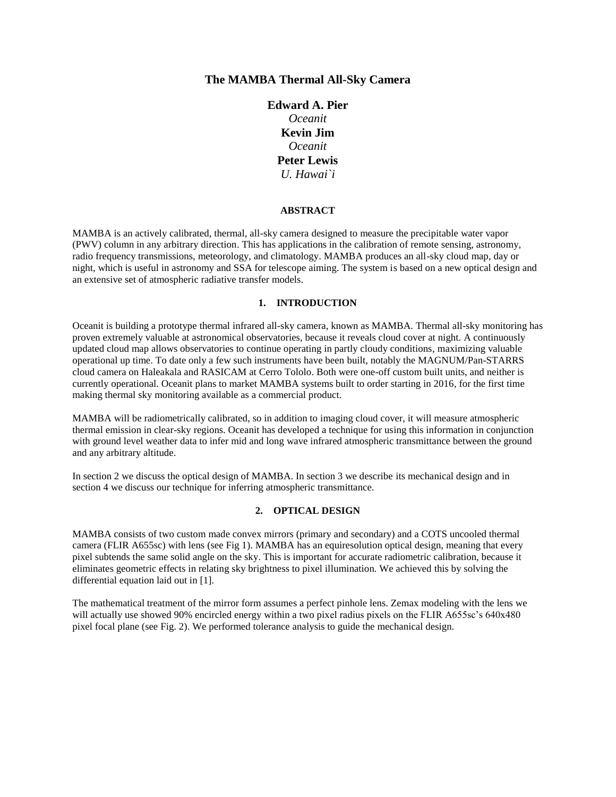# **The MAMBA Thermal All-Sky Camera**

# **Edward A. Pier** *Oceanit* **Kevin Jim** *Oceanit* **Peter Lewis** *U. Hawai`i*

#### **ABSTRACT**

MAMBA is an actively calibrated, thermal, all-sky camera designed to measure the precipitable water vapor (PWV) column in any arbitrary direction. This has applications in the calibration of remote sensing, astronomy, radio frequency transmissions, meteorology, and climatology. MAMBA produces an all-sky cloud map, day or night, which is useful in astronomy and SSA for telescope aiming. The system is based on a new optical design and an extensive set of atmospheric radiative transfer models.

#### **1. INTRODUCTION**

Oceanit is building a prototype thermal infrared all-sky camera, known as MAMBA. Thermal all-sky monitoring has proven extremely valuable at astronomical observatories, because it reveals cloud cover at night. A continuously updated cloud map allows observatories to continue operating in partly cloudy conditions, maximizing valuable operational up time. To date only a few such instruments have been built, notably the MAGNUM/Pan-STARRS cloud camera on Haleakala and RASICAM at Cerro Tololo. Both were one-off custom built units, and neither is currently operational. Oceanit plans to market MAMBA systems built to order starting in 2016, for the first time making thermal sky monitoring available as a commercial product.

MAMBA will be radiometrically calibrated, so in addition to imaging cloud cover, it will measure atmospheric thermal emission in clear-sky regions. Oceanit has developed a technique for using this information in conjunction with ground level weather data to infer mid and long wave infrared atmospheric transmittance between the ground and any arbitrary altitude.

In section 2 we discuss the optical design of MAMBA. In section 3 we describe its mechanical design and in section 4 we discuss our technique for inferring atmospheric transmittance.

## **2. OPTICAL DESIGN**

MAMBA consists of two custom made convex mirrors (primary and secondary) and a COTS uncooled thermal camera (FLIR A655sc) with lens (see Fig 1). MAMBA has an equiresolution optical design, meaning that every pixel subtends the same solid angle on the sky. This is important for accurate radiometric calibration, because it eliminates geometric effects in relating sky brightness to pixel illumination. We achieved this by solving the differential equation laid out in [1].

The mathematical treatment of the mirror form assumes a perfect pinhole lens. Zemax modeling with the lens we will actually use showed 90% encircled energy within a two pixel radius pixels on the FLIR A655sc's 640x480 pixel focal plane (see Fig. 2). We performed tolerance analysis to guide the mechanical design.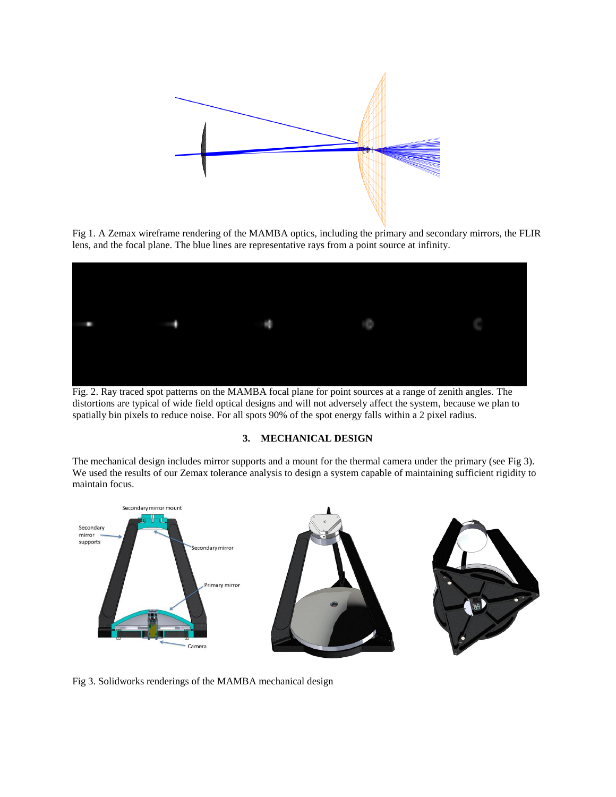

Fig 1. A Zemax wireframe rendering of the MAMBA optics, including the primary and secondary mirrors, the FLIR lens, and the focal plane. The blue lines are representative rays from a point source at infinity.



Fig. 2. Ray traced spot patterns on the MAMBA focal plane for point sources at a range of zenith angles. The distortions are typical of wide field optical designs and will not adversely affect the system, because we plan to spatially bin pixels to reduce noise. For all spots 90% of the spot energy falls within a 2 pixel radius.

### **3. MECHANICAL DESIGN**

The mechanical design includes mirror supports and a mount for the thermal camera under the primary (see Fig 3). We used the results of our Zemax tolerance analysis to design a system capable of maintaining sufficient rigidity to maintain focus.



Fig 3. Solidworks renderings of the MAMBA mechanical design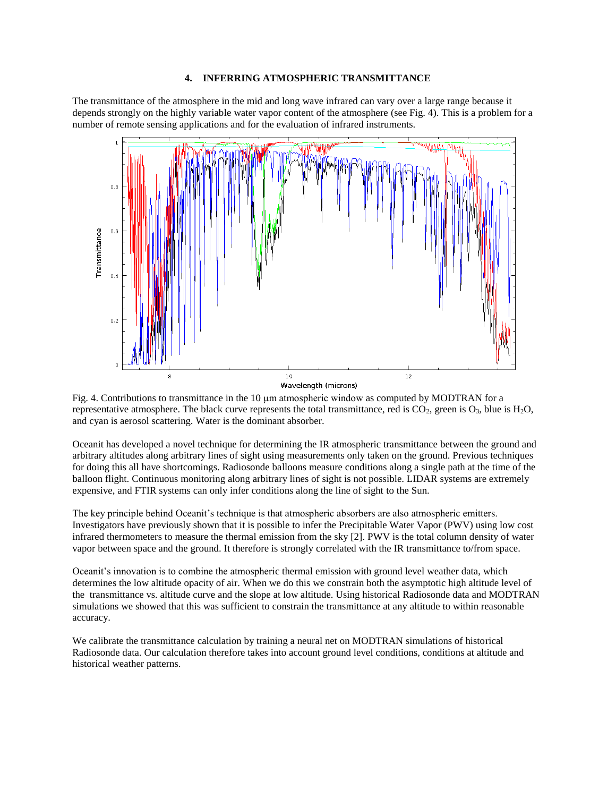#### **4. INFERRING ATMOSPHERIC TRANSMITTANCE**

The transmittance of the atmosphere in the mid and long wave infrared can vary over a large range because it depends strongly on the highly variable water vapor content of the atmosphere (see Fig. 4). This is a problem for a number of remote sensing applications and for the evaluation of infrared instruments.



Fig. 4. Contributions to transmittance in the 10 μm atmospheric window as computed by MODTRAN for a representative atmosphere. The black curve represents the total transmittance, red is  $CO_2$ , green is  $O_3$ , blue is  $H_2O$ , and cyan is aerosol scattering. Water is the dominant absorber.

Oceanit has developed a novel technique for determining the IR atmospheric transmittance between the ground and arbitrary altitudes along arbitrary lines of sight using measurements only taken on the ground. Previous techniques for doing this all have shortcomings. Radiosonde balloons measure conditions along a single path at the time of the balloon flight. Continuous monitoring along arbitrary lines of sight is not possible. LIDAR systems are extremely expensive, and FTIR systems can only infer conditions along the line of sight to the Sun.

The key principle behind Oceanit's technique is that atmospheric absorbers are also atmospheric emitters. Investigators have previously shown that it is possible to infer the Precipitable Water Vapor (PWV) using low cost infrared thermometers to measure the thermal emission from the sky [2]. PWV is the total column density of water vapor between space and the ground. It therefore is strongly correlated with the IR transmittance to/from space.

Oceanit's innovation is to combine the atmospheric thermal emission with ground level weather data, which determines the low altitude opacity of air. When we do this we constrain both the asymptotic high altitude level of the transmittance vs. altitude curve and the slope at low altitude. Using historical Radiosonde data and MODTRAN simulations we showed that this was sufficient to constrain the transmittance at any altitude to within reasonable accuracy.

We calibrate the transmittance calculation by training a neural net on MODTRAN simulations of historical Radiosonde data. Our calculation therefore takes into account ground level conditions, conditions at altitude and historical weather patterns.